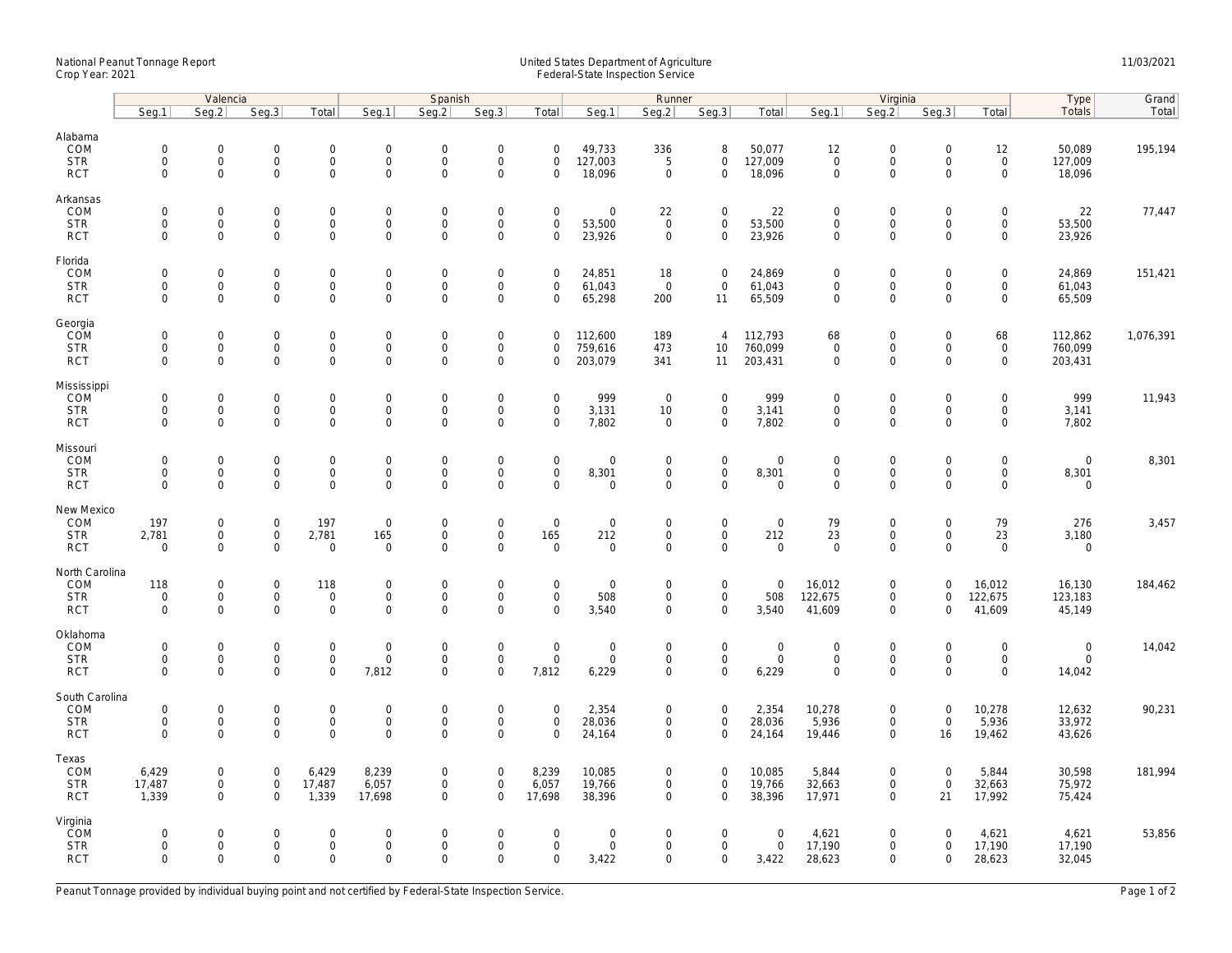## National Peanut Tonnage Report United States Department of Agriculture 11/03/2021<br>Crop Year: 2021 Federal-State Inspection Service

|                          | Valencia                   |                                            |                            | Spanish                             |                                    |                            |                                    |                                 | Runner                     |                            |                             |                    |                                    | Virginia                            |                            |                                    |                      | Grand     |
|--------------------------|----------------------------|--------------------------------------------|----------------------------|-------------------------------------|------------------------------------|----------------------------|------------------------------------|---------------------------------|----------------------------|----------------------------|-----------------------------|--------------------|------------------------------------|-------------------------------------|----------------------------|------------------------------------|----------------------|-----------|
|                          | Seg.1                      | Seg.2                                      | Seg.3                      | Total                               | Seg.1                              | Seq.2                      | Seg.3                              | Total                           | Seg.1                      | Seg.2                      | Seg.3                       | Total              | Seg.1                              | Seq.2                               | Seg.3                      | Total                              | Type<br>Totals       | Total     |
| Alabama                  |                            |                                            |                            |                                     |                                    |                            |                                    |                                 |                            |                            |                             |                    |                                    |                                     |                            |                                    |                      |           |
| COM                      | $\mathbf 0$                | $\mathsf{O}\xspace$                        | $\mathbf 0$                | $\mathsf{O}\xspace$                 | $\boldsymbol{0}$                   | $\mathbf 0$                | $\mathsf{O}\xspace$                | $\mathbf 0$                     | 49,733                     | 336                        | 8                           | 50,077             | 12                                 | $\mathbf 0$                         | $\mathsf 0$                | 12                                 | 50,089               | 195,194   |
| <b>STR</b>               | $\mathbf 0$                | $\mathbf{O}$                               | $\mathbf 0$                | $\mathbf{0}$                        | $\mathbf 0$                        | $\mathbf 0$                | $\mathsf 0$                        | $\mathbf 0$                     | 127,003                    | 5                          | $\mathbf{0}$                | 127,009            | $\mathbf 0$                        | $\mathsf{O}$                        | $\mathbf 0$                | $\mathsf 0$                        | 127,009              |           |
| <b>RCT</b>               | 0                          | $\mathbf 0$                                | $\mathbf 0$                | $\mathbf 0$                         | $\mathbf 0$                        | $\mathsf 0$                | $\mathbf 0$                        | 0                               | 18,096                     | $\mathbf 0$                | $\mathbf 0$                 | 18,096             | $\mathsf{O}\xspace$                | $\mathbf 0$                         | $\mathbf 0$                | $\mathbf 0$                        | 18,096               |           |
| Arkansas                 |                            |                                            |                            |                                     |                                    |                            |                                    |                                 |                            |                            |                             |                    |                                    |                                     |                            |                                    |                      |           |
| COM                      | $\mathbf 0$                | $\mathsf{O}\xspace$                        | $\mathbf 0$                | $\mathbf 0$                         | $\mathbf 0$                        | $\mathbf 0$                | $\mathsf{O}\xspace$                | $\mathsf 0$                     | $\mathsf{O}\xspace$        | 22                         | $\mathbf 0$                 | 22                 | $\mathbf 0$                        | $\mathsf{O}\xspace$                 | 0                          | $\mathsf{O}\xspace$                | 22                   | 77,447    |
| <b>STR</b>               | $\mathbf 0$                | $\mathsf{O}\xspace$                        | $\mathbf 0$                | $\mathbf 0$                         | $\mathbf 0$                        | $\mathsf 0$                | $\mathsf 0$                        | $\mathsf 0$                     | 53,500                     | $\mathbf 0$                | $\mathbf 0$                 | 53,500             | $\mathsf{O}\xspace$                | $\mathsf{O}\xspace$                 | $\mathbf 0$                | $\mathsf{O}$                       | 53,500               |           |
| <b>RCT</b>               | $\Omega$                   | $\Omega$                                   | $\mathbf 0$                | 0                                   | $\Omega$                           | $\Omega$                   | $\Omega$                           | $\Omega$                        | 23,926                     | $\mathbf 0$                | $\mathbf 0$                 | 23,926             | $\mathbf 0$                        | $\Omega$                            | $\Omega$                   | $\mathbf 0$                        | 23,926               |           |
| Florida                  |                            |                                            |                            |                                     |                                    |                            |                                    |                                 |                            |                            |                             |                    |                                    |                                     |                            |                                    |                      |           |
| COM                      | $\mathbf 0$                | $\mathsf{O}\xspace$<br>$\mathsf{O}\xspace$ | $\mathbf 0$<br>$\mathbf 0$ | $\mathsf{O}\xspace$                 | $\mathsf{O}$                       | $\mathbf 0$                | $\mathsf{O}\xspace$<br>$\mathsf 0$ | $\mathsf 0$                     | 24,851                     | 18                         | $\mathsf{O}\xspace$         | 24,869             | $\mathbf 0$                        | $\mathbf 0$<br>$\mathsf{O}\xspace$  | $\mathbf 0$                | $\mathsf{O}\xspace$                | 24,869               | 151,421   |
| <b>STR</b><br><b>RCT</b> | 0<br>$\mathbf 0$           | $\Omega$                                   | $\mathbf 0$                | 0<br>$\mathbf 0$                    | $\mathsf{O}$<br>$\mathbf 0$        | $\mathbf 0$<br>$\mathbf 0$ | $\mathbf 0$                        | 0<br>$\Omega$                   | 61,043<br>65,298           | $\overline{0}$<br>200      | $\mathsf 0$<br>11           | 61,043<br>65,509   | $\mathsf{O}\xspace$<br>$\mathbf 0$ | $\mathbf 0$                         | 0<br>$\Omega$              | $\mathsf{O}\xspace$<br>$\mathbf 0$ | 61,043<br>65,509     |           |
|                          |                            |                                            |                            |                                     |                                    |                            |                                    |                                 |                            |                            |                             |                    |                                    |                                     |                            |                                    |                      |           |
| Georgia                  |                            |                                            |                            |                                     |                                    |                            |                                    |                                 |                            |                            | $\overline{4}$              |                    |                                    |                                     |                            |                                    |                      |           |
| COM<br><b>STR</b>        | $\mathbf 0$<br>$\mathbf 0$ | $\mathbf 0$<br>$\mathsf{O}\xspace$         | $\mathbf 0$<br>$\mathbf 0$ | $\mathbf 0$<br>$\mathbf 0$          | $\mathsf{O}$<br>$\mathsf{O}$       | $\mathbf 0$<br>$\mathsf 0$ | $\mathsf{O}\xspace$<br>$\mathsf 0$ | 0<br>$\mathbf 0$                | 112,600<br>759,616         | 189<br>473                 | 10 <sup>°</sup>             | 112,793<br>760,099 | 68<br>$\mathbf 0$                  | $\mathsf{O}\xspace$<br>$\mathsf{O}$ | $\mathbf 0$<br>$\mathbf 0$ | 68<br>$\mathsf 0$                  | 112,862<br>760,099   | 1,076,391 |
| <b>RCT</b>               | $\mathbf 0$                | $\mathbf 0$                                | $\mathbf 0$                | $\mathbf 0$                         | $\mathbf 0$                        | $\mathbf 0$                | $\mathbf 0$                        | $\mathbf 0$                     | 203,079                    | 341                        | 11                          | 203,431            | $\mathbf 0$                        | $\mathbf 0$                         | $\mathbf 0$                | $\mathbf 0$                        | 203,431              |           |
| Mississippi              |                            |                                            |                            |                                     |                                    |                            |                                    |                                 |                            |                            |                             |                    |                                    |                                     |                            |                                    |                      |           |
| <b>COM</b>               | $\mathbf 0$                | $\mathbf 0$                                | $\mathbf 0$                | $\mathbf{0}$                        | $\mathsf{O}$                       | $\mathbf 0$                | $\mathsf 0$                        | $\mathbf 0$                     | 999                        | $\mathbf 0$                | $\mathbf 0$                 | 999                | $\mathbf 0$                        | $\mathsf{O}$                        | $\Omega$                   | $\mathbf 0$                        | 999                  | 11,943    |
| <b>STR</b>               | $\mathbf 0$                | $\mathsf{O}\xspace$                        | $\mathbf 0$                | $\mathbf 0$                         | $\mathbf 0$                        | $\mathsf 0$                | $\mathsf 0$                        | $\mathsf 0$                     | 3,131                      | 10                         | $\mathbf 0$                 | 3,141              | $\mathsf{O}\xspace$                | $\mathsf{O}\xspace$                 | $\mathsf 0$                | $\mathbf 0$                        | 3,141                |           |
| <b>RCT</b>               | $\mathbf 0$                | $\mathsf{O}\xspace$                        | 0                          | $\mathbf 0$                         | $\mathbf 0$                        | $\mathbf 0$                | $\mathbf 0$                        | $\mathbf 0$                     | 7,802                      | $\mathbf 0$                | $\mathbf 0$                 | 7,802              | $\mathbf 0$                        | $\mathbf 0$                         | $\mathbf 0$                | $\mathbf 0$                        | 7,802                |           |
| Missouri                 |                            |                                            |                            |                                     |                                    |                            |                                    |                                 |                            |                            |                             |                    |                                    |                                     |                            |                                    |                      |           |
| COM                      | $\mathbf 0$                | $\mathsf{O}\xspace$                        | $\mathbf 0$                | $\mathsf{O}\xspace$                 | $\mathbf 0$                        | $\mathbf 0$                | $\mathsf{O}\xspace$                | $\mathsf 0$                     | $\mathsf{O}\xspace$        | $\mathbf 0$                | $\mathsf{O}\xspace$         | $\mathbf 0$        | $\mathbf 0$                        | $\mathsf{O}\xspace$                 | $\Omega$                   | $\mathsf{O}\xspace$                | $\mathbf 0$          | 8,301     |
| <b>STR</b>               | $\mathbf 0$                | 0                                          | $\mathbf 0$                | 0                                   | $\mathbf 0$                        | $\mathbf 0$                | $\mathsf{O}\xspace$                | $\mathbf 0$                     | 8,301                      | $\mathbf 0$                | $\mathbf 0$                 | 8,301              | $\mathbf 0$                        | $\mathsf{O}\xspace$                 | $\mathbf 0$                | $\mathsf{O}\xspace$                | 8,301                |           |
| <b>RCT</b>               | $\Omega$                   | $\mathbf 0$                                | $\mathbf 0$                | $\mathsf{O}$                        | $\mathbf 0$                        | $\Omega$                   | $\mathbf 0$                        | $\mathbf 0$                     | $\mathbf 0$                | $\mathbf 0$                | $\mathbf 0$                 | $\mathbf 0$        | $\mathbf 0$                        | $\mathbf 0$                         | $\mathbf 0$                | $\mathbf 0$                        | $\mathbf 0$          |           |
| New Mexico               |                            |                                            |                            |                                     |                                    |                            |                                    |                                 |                            |                            |                             |                    |                                    |                                     |                            |                                    |                      |           |
| COM                      | 197                        | $\mathsf{O}\xspace$                        | $\mathbf 0$                | 197                                 | $\mathbf 0$                        | $\mathbf 0$                | $\mathsf{O}\xspace$                | $\mathsf 0$                     | $\mathsf{O}\xspace$        | $\mathbf 0$                | $\mathsf{O}\xspace$         | $\mathbf 0$        | 79                                 | $\mathsf{O}\xspace$                 | $\mathbf 0$                | 79                                 | 276                  | 3,457     |
| <b>STR</b><br><b>RCT</b> | 2,781<br>$\mathbf 0$       | $\mathsf{O}\xspace$<br>$\mathbf 0$         | $\mathbf 0$<br>$\mathbf 0$ | 2,781<br>$\mathbf 0$                | 165<br>$\mathbf 0$                 | $\mathbf 0$<br>$\mathbf 0$ | $\mathsf{O}\xspace$<br>$\mathbf 0$ | 165<br>$\mathbf 0$              | 212<br>$\mathsf{O}\xspace$ | $\mathbf 0$<br>$\mathbf 0$ | $\mathbf 0$<br>$\mathbf 0$  | 212<br>$\mathsf 0$ | 23<br>$\mathbf 0$                  | $\mathbf 0$<br>$\mathbf 0$          | $\mathbf 0$<br>$\Omega$    | 23<br>$\mathbf 0$                  | 3,180<br>$\mathbf 0$ |           |
|                          |                            |                                            |                            |                                     |                                    |                            |                                    |                                 |                            |                            |                             |                    |                                    |                                     |                            |                                    |                      |           |
| North Carolina<br>COM    | 118                        | $\mathsf{O}\xspace$                        | $\mathsf{O}\xspace$        | 118                                 | $\boldsymbol{0}$                   | $\mathbf 0$                | $\mathsf{O}\xspace$                | $\mathbf 0$                     | $\mathsf{O}\xspace$        |                            | $\mathsf{O}\xspace$         | $\mathbf 0$        | 16,012                             | $\mathsf{O}\xspace$                 | $\Omega$                   |                                    |                      | 184,462   |
| <b>STR</b>               | $\mathbf 0$                | $\mathbf 0$                                | $\mathbf 0$                | $\mathsf 0$                         | $\mathsf{O}$                       | $\mathbf 0$                | $\mathsf 0$                        | $\mathbf 0$                     | 508                        | 0<br>$\mathbf 0$           | $\mathbf 0$                 | 508                | 122,675                            | $\mathbf 0$                         | $\mathbf 0$                | 16,012<br>122,675                  | 16,130<br>123,183    |           |
| <b>RCT</b>               | $\mathbf 0$                | $\mathbf 0$                                | $\mathbf 0$                | $\mathbf 0$                         | $\mathsf 0$                        | $\mathbf 0$                | $\mathbf 0$                        | $\mathbf 0$                     | 3,540                      | $\mathbf 0$                | $\mathbf 0$                 | 3,540              | 41,609                             | $\mathbf 0$                         | $\mathbf 0$                | 41,609                             | 45,149               |           |
| Oklahoma                 |                            |                                            |                            |                                     |                                    |                            |                                    |                                 |                            |                            |                             |                    |                                    |                                     |                            |                                    |                      |           |
| COM                      | $\mathbf 0$                | $\mathsf{O}\xspace$                        | $\mathbf 0$                | $\mathbf 0$                         | $\mathbf 0$                        | $\mathbf 0$                | $\mathsf{O}\xspace$                | $\mathsf 0$                     | $\mathsf{O}\xspace$        | $\mathbf 0$                | $\mathbf 0$                 | $\mathbf 0$        | $\mathbf 0$                        | $\mathsf{O}\xspace$                 | $\mathbf 0$                | $\mathsf{O}\xspace$                | $\mathbf 0$          | 14,042    |
| <b>STR</b>               | $\mathbf 0$                | $\mathbf 0$                                | $\mathbf 0$                | $\mathbf 0$                         | $\mathbf 0$                        | $\mathsf 0$                | $\mathsf{O}\xspace$                | $\mathsf 0$                     | $\mathsf{O}\xspace$        | $\mathbf 0$                | $\mathbf 0$                 | $\mathsf 0$        | $\mathsf{O}\xspace$                | $\mathbf 0$                         | $\mathbf 0$                | $\mathbf 0$                        | $\mathbf 0$          |           |
| <b>RCT</b>               | $\Omega$                   | $\Omega$                                   | $\Omega$                   | $\Omega$                            | 7,812                              | $\mathbf 0$                | $\Omega$                           | 7,812                           | 6,229                      | $\Omega$                   | 0                           | 6,229              | $\Omega$                           | $\Omega$                            | $\Omega$                   | $\mathbf 0$                        | 14,042               |           |
| South Carolina           |                            |                                            |                            |                                     |                                    |                            |                                    |                                 |                            |                            |                             |                    |                                    |                                     |                            |                                    |                      |           |
| COM                      | $\mathbf 0$                | $\mathbf 0$                                | $\mathbf 0$                | $\mathsf{O}\xspace$                 | $\mathbf 0$                        | $\mathbf 0$                | $\mathsf{O}\xspace$                | $\mathbf 0$                     | 2,354                      | $\mathbf 0$                | $\mathbf 0$                 | 2,354              | 10,278                             | $\mathbf 0$                         | $\mathsf 0$                | 10,278                             | 12,632               | 90,231    |
| <b>STR</b><br><b>RCT</b> | $\mathbf 0$<br>$\Omega$    | $\mathsf{O}\xspace$<br>$\mathbf 0$         | $\mathbf 0$<br>$\Omega$    | $\mathsf{O}\xspace$<br>$\mathbf{O}$ | $\mathsf{O}\xspace$<br>$\mathbf 0$ | $\mathbf 0$<br>$\mathbf 0$ | $\mathsf{O}\xspace$<br>$\mathbf 0$ | $\mathsf{O}\xspace$<br>$\Omega$ | 28,036<br>24,164           | 0<br>$\mathbf 0$           | $\mathsf 0$<br>$\mathbf{0}$ | 28,036<br>24,164   | 5,936<br>19,446                    | $\mathsf{O}\xspace$<br>$\mathbf 0$  | $\mathsf{O}\xspace$<br>16  | 5,936<br>19,462                    | 33,972<br>43,626     |           |
|                          |                            |                                            |                            |                                     |                                    |                            |                                    |                                 |                            |                            |                             |                    |                                    |                                     |                            |                                    |                      |           |
| Texas<br>COM             | 6,429                      | $\mathbf{0}$                               | $\mathbf 0$                | 6,429                               | 8,239                              | $\mathbf 0$                | $\mathbf 0$                        | 8,239                           | 10,085                     | 0                          | $\overline{0}$              | 10,085             | 5,844                              | $\mathbf 0$                         | $\mathbf 0$                | 5,844                              | 30,598               | 181,994   |
| <b>STR</b>               | 17,487                     | $\mathsf{O}\xspace$                        | $\mathsf 0$                | 17,487                              | 6,057                              | $\mathsf 0$                | $\mathsf{O}\xspace$                | 6,057                           | 19,766                     | 0                          | $\mathsf 0$                 | 19,766             | 32,663                             | $\mathsf{O}\xspace$                 | $\mathsf 0$                | 32,663                             | 75,972               |           |
| <b>RCT</b>               | 1,339                      | $\mathbf 0$                                | $\mathbf 0$                | 1,339                               | 17,698                             | $\mathbf 0$                | $\mathbf 0$                        | 17,698                          | 38,396                     | $\mathbf 0$                | $\mathbf 0$                 | 38,396             | 17,971                             | $\mathbf 0$                         | 21                         | 17,992                             | 75,424               |           |
| Virginia                 |                            |                                            |                            |                                     |                                    |                            |                                    |                                 |                            |                            |                             |                    |                                    |                                     |                            |                                    |                      |           |
| <b>ČOM</b>               | $\mathbf 0$                | $\mathbf{0}$                               | $\mathbf 0$                | $\mathbf 0$                         | $\overline{0}$                     | $\mathbf 0$                | $\mathbf 0$                        | $\mathbf 0$                     | $\mathbf 0$                | $\Omega$                   | $\mathbf 0$                 | $\overline{0}$     | 4,621                              | $\mathbf 0$                         | $\mathbf 0$                | 4,621                              | 4,621                | 53,856    |
| <b>STR</b>               | $\mathbf 0$                | $\mathbf 0$                                | $\mathbf 0$                | $\mathsf{O}\xspace$                 | $\mathsf{O}$                       | $\mathbf 0$                | $\mathsf{O}\xspace$                | $\mathbf 0$                     | $\mathbf 0$                | $\mathbf 0$                | $\mathsf{O}\xspace$         | $\mathsf{O}$       | 17,190                             | $\mathbf 0$                         | $\mathbf 0$                | 17,190                             | 17,190               |           |
| <b>RCT</b>               | $\Omega$                   | $\mathbf 0$                                | $\mathbf 0$                | $\mathbf 0$                         | $\mathbf 0$                        | $\Omega$                   | $\mathbf 0$                        | $\mathbf 0$                     | 3,422                      | $\mathbf 0$                | $\mathbf 0$                 | 3,422              | 28,623                             | $\mathbf 0$                         | $\mathbf 0$                | 28,623                             | 32,045               |           |
|                          |                            |                                            |                            |                                     |                                    |                            |                                    |                                 |                            |                            |                             |                    |                                    |                                     |                            |                                    |                      |           |

Peanut Tonnage provided by individual buying point and not certified by Federal-State Inspection Service. Page 1 of 2